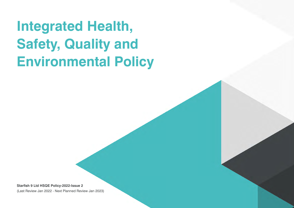## **Integrated Health, Safety, Quality and Environmental Policy**

**Starfish 9 Ltd HSQE Policy-2022-Issue 2**  (Last Review Jan 2022 - Next Planned Review Jan 2023)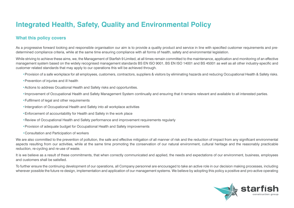## **Integrated Health, Safety, Quality and Environmental Policy**

## **What this policy covers**

As a progressive forward looking and responsible organisation our aim is to provide a quality product and service in line with specified customer requirements and predetermined compliance criteria, while at the same time ensuring compliance with all forms of health, safety and environmental legislation.

While striving to achieve these aims, we, the Management of Starfish 9 Limited, at all times remain committed to the maintenance, application and monitoring of an effective management system based on the widely recognised management standards BS EN ISO 9001, BS EN ISO 14001 and BS 45001 as well as all other industry-specific and customer related standards that may apply to our operations this will be achieved through.

- •Provision of a safe workplace for all employees, customers, contractors, suppliers & visitors by eliminating hazards and reducing Occupational Health & Safety risks.
- •Prevention of injuries and ill health
- •Actions to address Ocuational Health and Safety risks and opportunities.
- •Improvement of Occupational Health and Safety Management System continually and ensuring that it remains relevant and available to all interested parties.
- •Fulfilment of legal and other requirements
- •Intergration of Occupational Health and Safety into all workplace activities
- •Enforcement of accountability for Health and Safety in the work place
- •Review of Occupational Health and Safety performance and improvement requirements regularly
- •Provision of adequate budget for Occupational Health and Safety improvements
- •Consultation and Participation of workers

We are also committed to the prevention of pollution, the safe and effective mitigation of all manner of risk and the reduction of impact from any significant environmental aspects resulting from our activities, while at the same time promoting the conservation of our natural environment, cultural heritage and the reasonably practicable reduction, re-cycling and re-use of waste.

It is we believe as a result of these commitments, that when correctly communicated and applied, the needs and expectations of our environment, business, employees and customers shall be satisfied.

To further ensure the continuing development of our operations, all Company personnel are encouraged to take an active role in our decision making processes, including wherever possible the future re-design, implementation and application of our management systems. We believe by adopting this policy a positive and pro-active operating